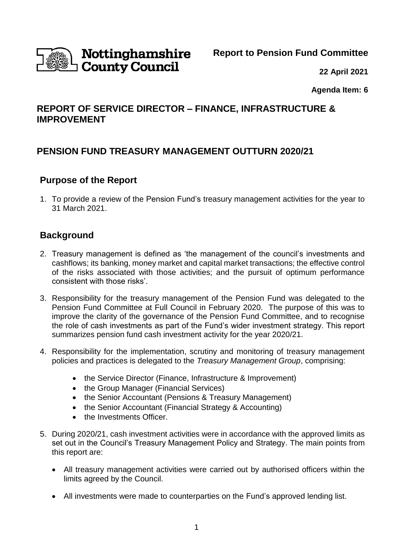

# Nottinghamshire **County Council**

**22 April 2021**

**Agenda Item: 6**

## **REPORT OF SERVICE DIRECTOR – FINANCE, INFRASTRUCTURE & IMPROVEMENT**

# **PENSION FUND TREASURY MANAGEMENT OUTTURN 2020/21**

### **Purpose of the Report**

1. To provide a review of the Pension Fund's treasury management activities for the year to 31 March 2021.

### **Background**

- 2. Treasury management is defined as 'the management of the council's investments and cashflows; its banking, money market and capital market transactions; the effective control of the risks associated with those activities; and the pursuit of optimum performance consistent with those risks'.
- 3. Responsibility for the treasury management of the Pension Fund was delegated to the Pension Fund Committee at Full Council in February 2020. The purpose of this was to improve the clarity of the governance of the Pension Fund Committee, and to recognise the role of cash investments as part of the Fund's wider investment strategy. This report summarizes pension fund cash investment activity for the year 2020/21.
- 4. Responsibility for the implementation, scrutiny and monitoring of treasury management policies and practices is delegated to the *Treasury Management Group*, comprising:
	- the Service Director (Finance, Infrastructure & Improvement)
	- the Group Manager (Financial Services)
	- the Senior Accountant (Pensions & Treasury Management)
	- the Senior Accountant (Financial Strategy & Accounting)
	- the Investments Officer.
- 5. During 2020/21, cash investment activities were in accordance with the approved limits as set out in the Council's Treasury Management Policy and Strategy. The main points from this report are:
	- All treasury management activities were carried out by authorised officers within the limits agreed by the Council.
	- All investments were made to counterparties on the Fund's approved lending list.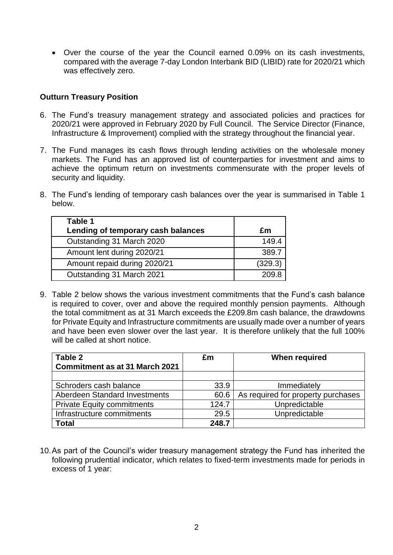Over the course of the year the Council earned 0.09% on its cash investments, compared with the average 7-day London Interbank BID (LIBID) rate for 2020/21 which was effectively zero.

#### **Outturn Treasury Position**

- 6. The Fund's treasury management strategy and associated policies and practices for 2020/21 were approved in February 2020 by Full Council. The Service Director (Finance, Infrastructure & Improvement) complied with the strategy throughout the financial year.
- 7. The Fund manages its cash flows through lending activities on the wholesale money markets. The Fund has an approved list of counterparties for investment and aims to achieve the optimum return on investments commensurate with the proper levels of security and liquidity.
- 8. The Fund's lending of temporary cash balances over the year is summarised in Table 1 below.

| Table 1                            |         |
|------------------------------------|---------|
| Lending of temporary cash balances | £m      |
| Outstanding 31 March 2020          | 149.4   |
| Amount lent during 2020/21         | 389.7   |
| Amount repaid during 2020/21       | (329.3) |
| Outstanding 31 March 2021          | 209.8   |

9. Table 2 below shows the various investment commitments that the Fund's cash balance is required to cover, over and above the required monthly pension payments. Although the total commitment as at 31 March exceeds the £209.8m cash balance, the drawdowns for Private Equity and Infrastructure commitments are usually made over a number of years and have been even slower over the last year. It is therefore unlikely that the full 100% will be called at short notice.

| Table 2<br><b>Commitment as at 31 March 2021</b> | £m    | <b>When required</b>               |  |
|--------------------------------------------------|-------|------------------------------------|--|
|                                                  |       |                                    |  |
| Schroders cash balance                           | 33.9  | Immediately                        |  |
| Aberdeen Standard Investments                    | 60.6  | As required for property purchases |  |
| <b>Private Equity commitments</b>                | 124.7 | Unpredictable                      |  |
| Infrastructure commitments                       | 29.5  | Unpredictable                      |  |
| <b>Total</b>                                     | 248.7 |                                    |  |

10.As part of the Council's wider treasury management strategy the Fund has inherited the following prudential indicator, which relates to fixed-term investments made for periods in excess of 1 year: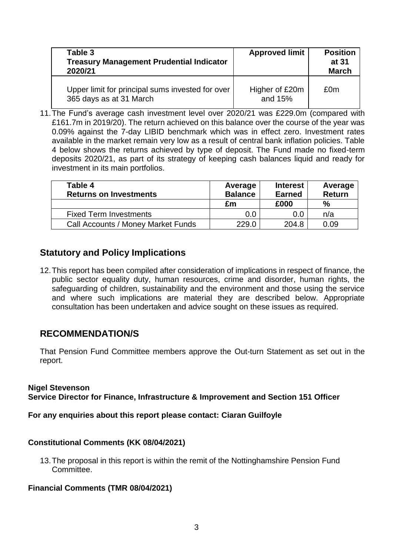| Table 3<br><b>Treasury Management Prudential Indicator</b><br>2020/21       | <b>Approved limit</b>     | <b>Position</b><br>at 31<br><b>March</b> |
|-----------------------------------------------------------------------------|---------------------------|------------------------------------------|
| Upper limit for principal sums invested for over<br>365 days as at 31 March | Higher of £20m<br>and 15% | £0m                                      |

11.The Fund's average cash investment level over 2020/21 was £229.0m (compared with £161.7m in 2019/20). The return achieved on this balance over the course of the year was 0.09% against the 7-day LIBID benchmark which was in effect zero. Investment rates available in the market remain very low as a result of central bank inflation policies. Table 4 below shows the returns achieved by type of deposit. The Fund made no fixed-term deposits 2020/21, as part of its strategy of keeping cash balances liquid and ready for investment in its main portfolios.

| Table 4<br><b>Returns on Investments</b>  | Average<br><b>Balance</b> | <b>Interest</b><br><b>Earned</b> | Average<br><b>Return</b> |
|-------------------------------------------|---------------------------|----------------------------------|--------------------------|
|                                           | £m                        | £000                             | $\%$                     |
| <b>Fixed Term Investments</b>             | 0.0                       | 0.0                              | n/a                      |
| <b>Call Accounts / Money Market Funds</b> | 229.0                     | 204.8                            | 0.09                     |

### **Statutory and Policy Implications**

12.This report has been compiled after consideration of implications in respect of finance, the public sector equality duty, human resources, crime and disorder, human rights, the safeguarding of children, sustainability and the environment and those using the service and where such implications are material they are described below. Appropriate consultation has been undertaken and advice sought on these issues as required.

### **RECOMMENDATION/S**

That Pension Fund Committee members approve the Out-turn Statement as set out in the report.

### **Nigel Stevenson**

**Service Director for Finance, Infrastructure & Improvement and Section 151 Officer**

### **For any enquiries about this report please contact: Ciaran Guilfoyle**

### **Constitutional Comments (KK 08/04/2021)**

13.The proposal in this report is within the remit of the Nottinghamshire Pension Fund Committee.

### **Financial Comments (TMR 08/04/2021)**